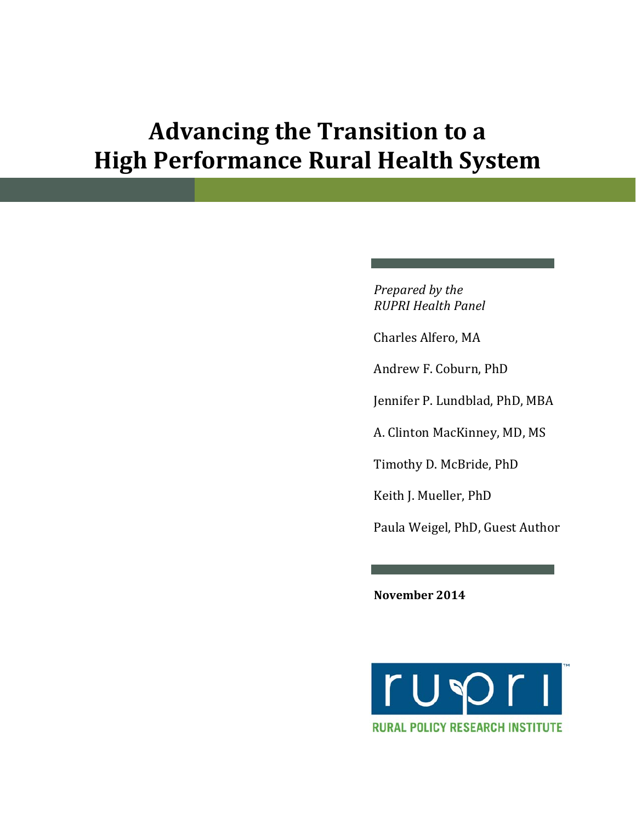# **Advancing the Transition to a High Performance Rural Health System**

*Prepared by the RUPRI Health Panel*

Charles Alfero, MA

Andrew F. Coburn, PhD

Jennifer P. Lundblad, PhD, MBA

A. Clinton MacKinney, MD, MS

Timothy D. McBride, PhD

Keith J. Mueller, PhD

Paula Weigel, PhD, Guest Author

**November 2014**

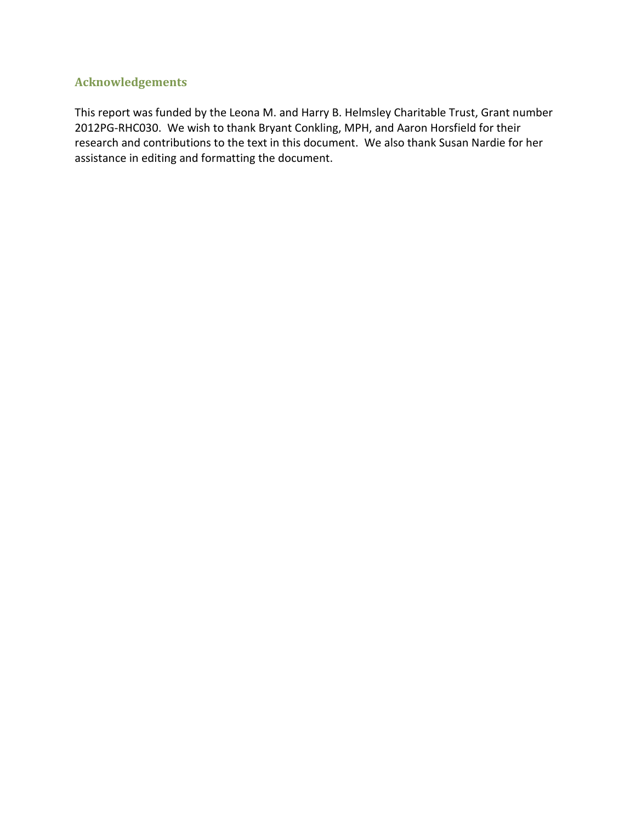### **Acknowledgements**

This report was funded by the Leona M. and Harry B. Helmsley Charitable Trust, Grant number 2012PG-RHC030. We wish to thank Bryant Conkling, MPH, and Aaron Horsfield for their research and contributions to the text in this document. We also thank Susan Nardie for her assistance in editing and formatting the document.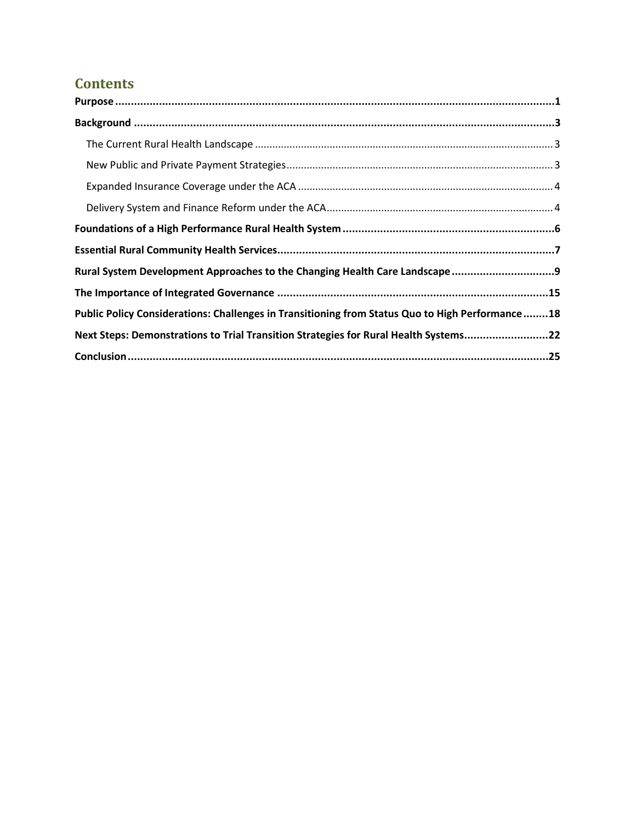# **Contents**

| Public Policy Considerations: Challenges in Transitioning from Status Quo to High Performance18 |  |
|-------------------------------------------------------------------------------------------------|--|
| Next Steps: Demonstrations to Trial Transition Strategies for Rural Health Systems22            |  |
|                                                                                                 |  |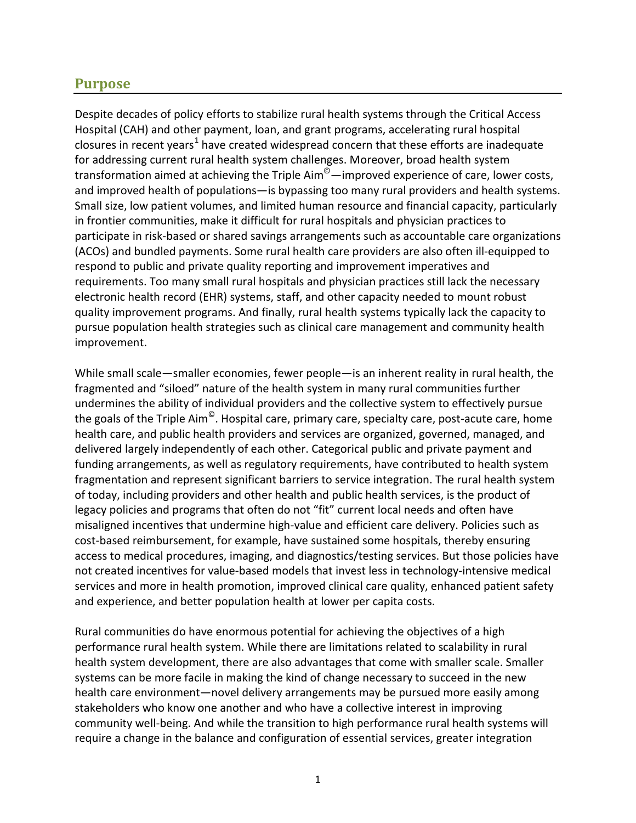### <span id="page-3-0"></span>**Purpose**

Despite decades of policy efforts to stabilize rural health systems through the Critical Access Hospital (CAH) and other payment, loan, and grant programs, accelerating rural hospital closures in recent years<sup>[1](#page-29-0)</sup> have created widespread concern that these efforts are inadequate for addressing current rural health system challenges. Moreover, broad health system transformation aimed at achieving the Triple Aim<sup>©</sup>—improved experience of care, lower costs, and improved health of populations—is bypassing too many rural providers and health systems. Small size, low patient volumes, and limited human resource and financial capacity, particularly in frontier communities, make it difficult for rural hospitals and physician practices to participate in risk-based or shared savings arrangements such as accountable care organizations (ACOs) and bundled payments. Some rural health care providers are also often ill-equipped to respond to public and private quality reporting and improvement imperatives and requirements. Too many small rural hospitals and physician practices still lack the necessary electronic health record (EHR) systems, staff, and other capacity needed to mount robust quality improvement programs. And finally, rural health systems typically lack the capacity to pursue population health strategies such as clinical care management and community health improvement.

While small scale—smaller economies, fewer people—is an inherent reality in rural health, the fragmented and "siloed" nature of the health system in many rural communities further undermines the ability of individual providers and the collective system to effectively pursue the goals of the Triple Aim $^{\circ}$ . Hospital care, primary care, specialty care, post-acute care, home health care, and public health providers and services are organized, governed, managed, and delivered largely independently of each other. Categorical public and private payment and funding arrangements, as well as regulatory requirements, have contributed to health system fragmentation and represent significant barriers to service integration. The rural health system of today, including providers and other health and public health services, is the product of legacy policies and programs that often do not "fit" current local needs and often have misaligned incentives that undermine high-value and efficient care delivery. Policies such as cost-based reimbursement, for example, have sustained some hospitals, thereby ensuring access to medical procedures, imaging, and diagnostics/testing services. But those policies have not created incentives for value-based models that invest less in technology-intensive medical services and more in health promotion, improved clinical care quality, enhanced patient safety and experience, and better population health at lower per capita costs.

Rural communities do have enormous potential for achieving the objectives of a high performance rural health system. While there are limitations related to scalability in rural health system development, there are also advantages that come with smaller scale. Smaller systems can be more facile in making the kind of change necessary to succeed in the new health care environment—novel delivery arrangements may be pursued more easily among stakeholders who know one another and who have a collective interest in improving community well-being. And while the transition to high performance rural health systems will require a change in the balance and configuration of essential services, greater integration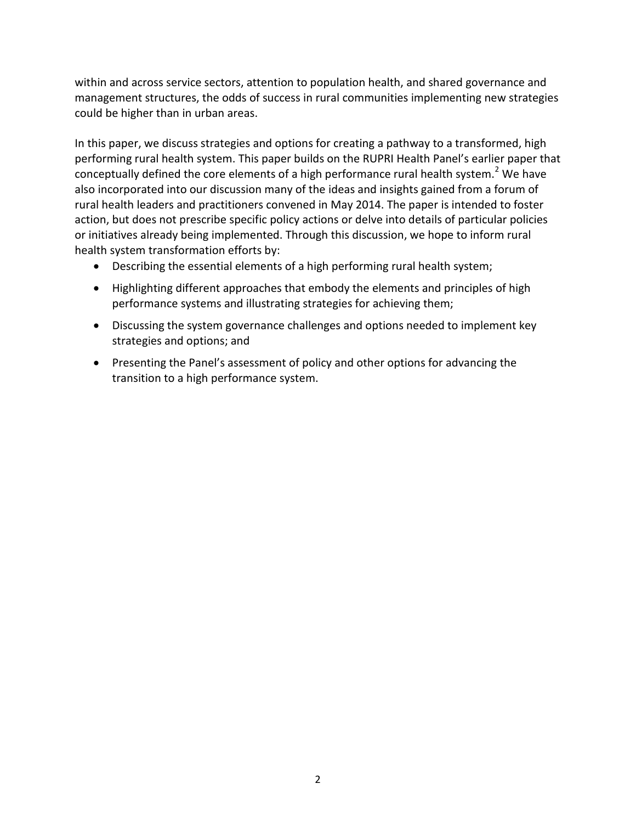within and across service sectors, attention to population health, and shared governance and management structures, the odds of success in rural communities implementing new strategies could be higher than in urban areas.

In this paper, we discuss strategies and options for creating a pathway to a transformed, high performing rural health system. This paper builds on the RUPRI Health Panel's earlier paper that conceptually defined the core elements of a high performance rural health system.<sup>[2](#page-29-1)</sup> We have also incorporated into our discussion many of the ideas and insights gained from a forum of rural health leaders and practitioners convened in May 2014. The paper is intended to foster action, but does not prescribe specific policy actions or delve into details of particular policies or initiatives already being implemented. Through this discussion, we hope to inform rural health system transformation efforts by:

- <span id="page-4-0"></span>• Describing the essential elements of a high performing rural health system;
- Highlighting different approaches that embody the elements and principles of high performance systems and illustrating strategies for achieving them;
- Discussing the system governance challenges and options needed to implement key strategies and options; and
- Presenting the Panel's assessment of policy and other options for advancing the transition to a high performance system.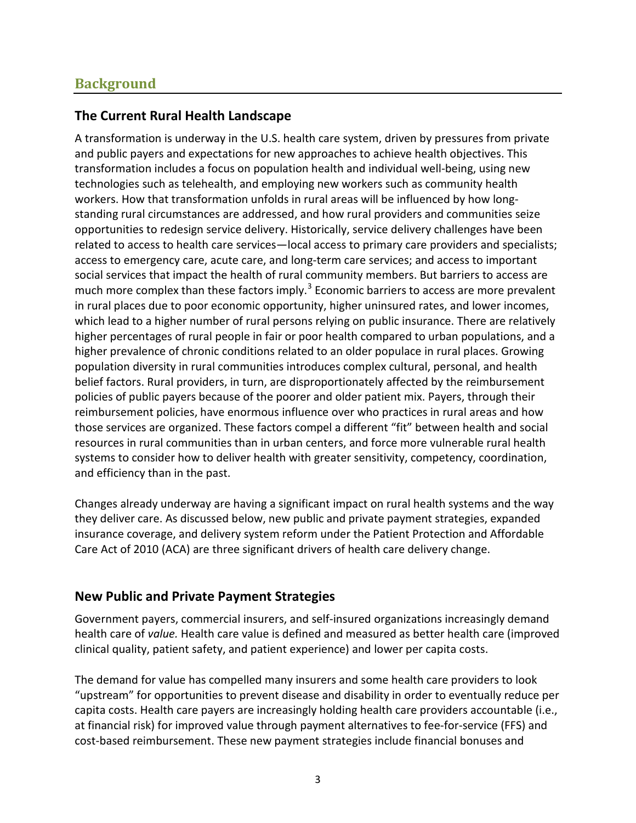### <span id="page-5-0"></span>**Background**

### <span id="page-5-1"></span>**The Current Rural Health Landscape**

A transformation is underway in the U.S. health care system, driven by pressures from private and public payers and expectations for new approaches to achieve health objectives. This transformation includes a focus on population health and individual well-being, using new technologies such as telehealth, and employing new workers such as community health workers. How that transformation unfolds in rural areas will be influenced by how longstanding rural circumstances are addressed, and how rural providers and communities seize opportunities to redesign service delivery. Historically, service delivery challenges have been related to access to health care services—local access to primary care providers and specialists; access to emergency care, acute care, and long-term care services; and access to important social services that impact the health of rural community members. But barriers to access are much more complex than these factors imply.<sup>[3](#page-29-2)</sup> Economic barriers to access are more prevalent in rural places due to poor economic opportunity, higher uninsured rates, and lower incomes, which lead to a higher number of rural persons relying on public insurance. There are relatively higher percentages of rural people in fair or poor health compared to urban populations, and a higher prevalence of chronic conditions related to an older populace in rural places. Growing population diversity in rural communities introduces complex cultural, personal, and health belief factors. Rural providers, in turn, are disproportionately affected by the reimbursement policies of public payers because of the poorer and older patient mix. Payers, through their reimbursement policies, have enormous influence over who practices in rural areas and how those services are organized. These factors compel a different "fit" between health and social resources in rural communities than in urban centers, and force more vulnerable rural health systems to consider how to deliver health with greater sensitivity, competency, coordination, and efficiency than in the past.

Changes already underway are having a significant impact on rural health systems and the way they deliver care. As discussed below, new public and private payment strategies, expanded insurance coverage, and delivery system reform under the Patient Protection and Affordable Care Act of 2010 (ACA) are three significant drivers of health care delivery change.

### <span id="page-5-2"></span>**New Public and Private Payment Strategies**

Government payers, commercial insurers, and self-insured organizations increasingly demand health care of *value.* Health care value is defined and measured as better health care (improved clinical quality, patient safety, and patient experience) and lower per capita costs.

The demand for value has compelled many insurers and some health care providers to look "upstream" for opportunities to prevent disease and disability in order to eventually reduce per capita costs. Health care payers are increasingly holding health care providers accountable (i.e., at financial risk) for improved value through payment alternatives to fee-for-service (FFS) and cost-based reimbursement. These new payment strategies include financial bonuses and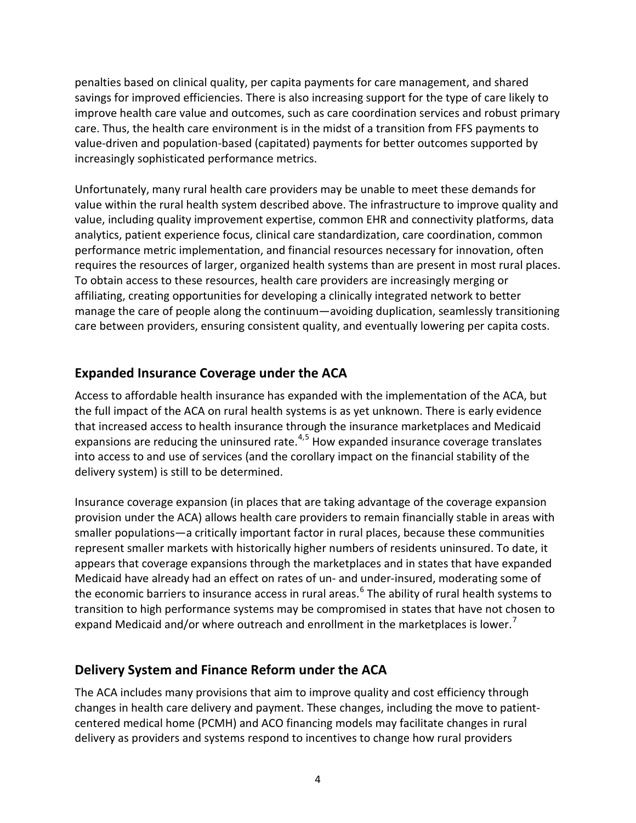penalties based on clinical quality, per capita payments for care management, and shared savings for improved efficiencies. There is also increasing support for the type of care likely to improve health care value and outcomes, such as care coordination services and robust primary care. Thus, the health care environment is in the midst of a transition from FFS payments to value-driven and population-based (capitated) payments for better outcomes supported by increasingly sophisticated performance metrics.

Unfortunately, many rural health care providers may be unable to meet these demands for value within the rural health system described above. The infrastructure to improve quality and value, including quality improvement expertise, common EHR and connectivity platforms, data analytics, patient experience focus, clinical care standardization, care coordination, common performance metric implementation, and financial resources necessary for innovation, often requires the resources of larger, organized health systems than are present in most rural places. To obtain access to these resources, health care providers are increasingly merging or affiliating, creating opportunities for developing a clinically integrated network to better manage the care of people along the continuum—avoiding duplication, seamlessly transitioning care between providers, ensuring consistent quality, and eventually lowering per capita costs.

### <span id="page-6-0"></span>**Expanded Insurance Coverage under the ACA**

Access to affordable health insurance has expanded with the implementation of the ACA, but the full impact of the ACA on rural health systems is as yet unknown. There is early evidence that increased access to health insurance through the insurance marketplaces and Medicaid expansions are reducing the uninsured rate. $4.5$  $4.5$  $4.5$  How expanded insurance coverage translates into access to and use of services (and the corollary impact on the financial stability of the delivery system) is still to be determined.

Insurance coverage expansion (in places that are taking advantage of the coverage expansion provision under the ACA) allows health care providers to remain financially stable in areas with smaller populations—a critically important factor in rural places, because these communities represent smaller markets with historically higher numbers of residents uninsured. To date, it appears that coverage expansions through the marketplaces and in states that have expanded Medicaid have already had an effect on rates of un- and under-insured, moderating some of the economic barriers to insurance access in rural areas.<sup>[6](#page-29-5)</sup> The ability of rural health systems to transition to high performance systems may be compromised in states that have not chosen to expand Medicaid and/or where outreach and enrollment in the marketplaces is lower.<sup>[7](#page-29-6)</sup>

### <span id="page-6-2"></span><span id="page-6-1"></span>**Delivery System and Finance Reform under the ACA**

The ACA includes many provisions that aim to improve quality and cost efficiency through changes in health care delivery and payment. These changes, including the move to patientcentered medical home (PCMH) and ACO financing models may facilitate changes in rural delivery as providers and systems respond to incentives to change how rural providers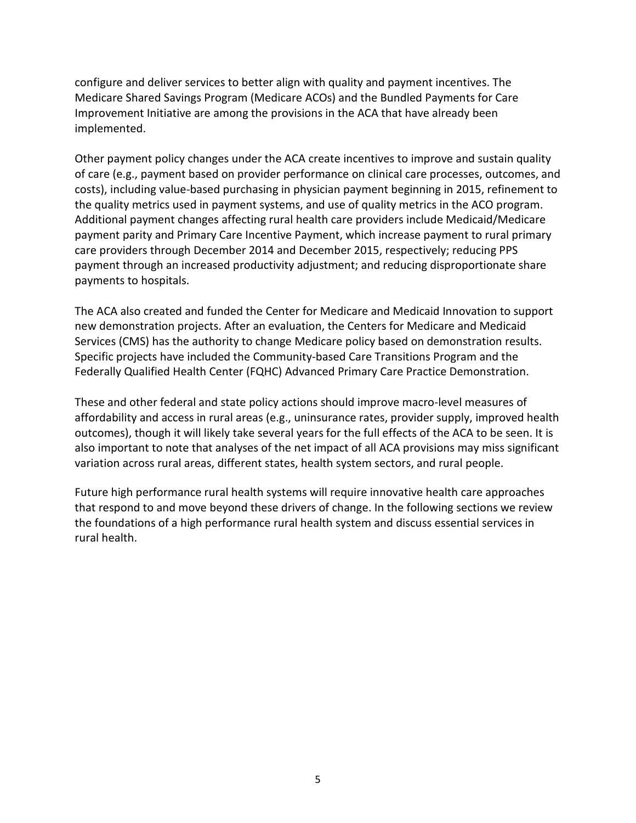configure and deliver services to better align with quality and payment incentives. The Medicare Shared Savings Program (Medicare ACOs) and the Bundled Payments for Care Improvement Initiative are among the provisions in the ACA that have already been implemented.

Other payment policy changes under the ACA create incentives to improve and sustain quality of care (e.g., payment based on provider performance on clinical care processes, outcomes, and costs), including value-based purchasing in physician payment beginning in 2015, refinement to the quality metrics used in payment systems, and use of quality metrics in the ACO program. Additional payment changes affecting rural health care providers include Medicaid/Medicare payment parity and Primary Care Incentive Payment, which increase payment to rural primary care providers through December 2014 and December 2015, respectively; reducing PPS payment through an increased productivity adjustment; and reducing disproportionate share payments to hospitals.

The ACA also created and funded the Center for Medicare and Medicaid Innovation to support new demonstration projects. After an evaluation, the Centers for Medicare and Medicaid Services (CMS) has the authority to change Medicare policy based on demonstration results. Specific projects have included the Community-based Care Transitions Program and the Federally Qualified Health Center (FQHC) Advanced Primary Care Practice Demonstration.

These and other federal and state policy actions should improve macro-level measures of affordability and access in rural areas (e.g., uninsurance rates, provider supply, improved health outcomes), though it will likely take several years for the full effects of the ACA to be seen. It is also important to note that analyses of the net impact of all ACA provisions may miss significant variation across rural areas, different states, health system sectors, and rural people.

Future high performance rural health systems will require innovative health care approaches that respond to and move beyond these drivers of change. In the following sections we review the foundations of a high performance rural health system and discuss essential services in rural health.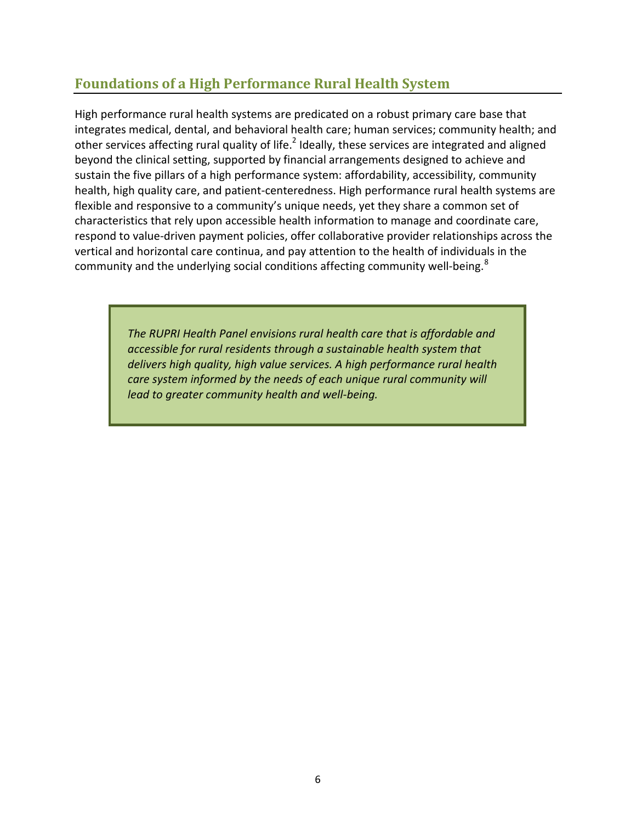### <span id="page-8-0"></span>**Foundations of a High Performance Rural Health System**

High performance rural health systems are predicated on a robust primary care base that integrates medical, dental, and behavioral health care; human services; community health; and other services affecting rural quality of life.<sup>2</sup> Ideally, these services are integrated and aligned beyond the clinical setting, supported by financial arrangements designed to achieve and sustain the five pillars of a high performance system: affordability, accessibility, community health, high quality care, and patient-centeredness. High performance rural health systems are flexible and responsive to a community's unique needs, yet they share a common set of characteristics that rely upon accessible health information to manage and coordinate care, respond to value-driven payment policies, offer collaborative provider relationships across the vertical and horizontal care continua, and pay attention to the health of individuals in the community and the underlying social conditions affecting community well-being.<sup>[8](#page-30-0)</sup>

> *The RUPRI Health Panel envisions rural health care that is affordable and accessible for rural residents through a sustainable health system that delivers high quality, high value services. A high performance rural health care system informed by the needs of each unique rural community will lead to greater community health and well-being.*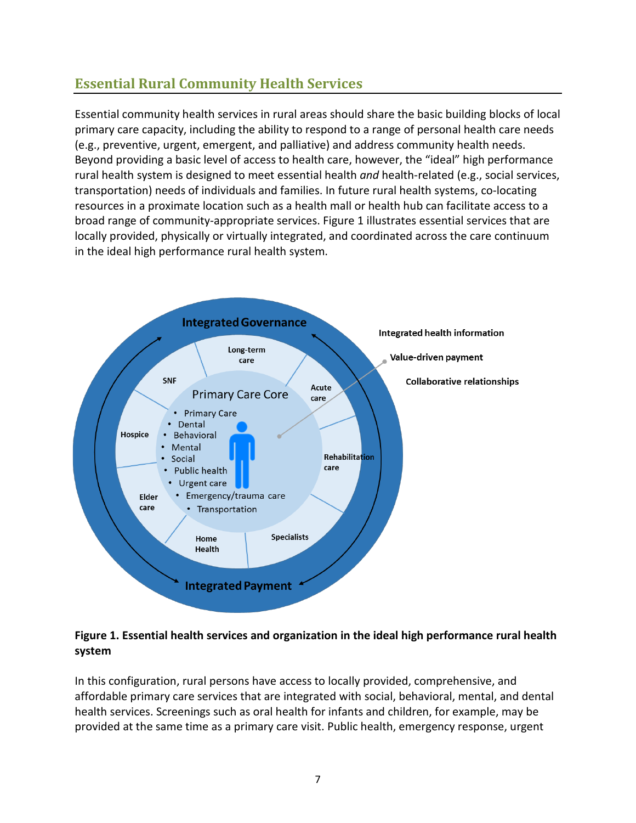# <span id="page-9-0"></span>**Essential Rural Community Health Services**

Essential community health services in rural areas should share the basic building blocks of local primary care capacity, including the ability to respond to a range of personal health care needs (e.g., preventive, urgent, emergent, and palliative) and address community health needs. Beyond providing a basic level of access to health care, however, the "ideal" high performance rural health system is designed to meet essential health *and* health-related (e.g., social services, transportation) needs of individuals and families. In future rural health systems, co-locating resources in a proximate location such as a health mall or health hub can facilitate access to a broad range of community-appropriate services. Figure 1 illustrates essential services that are locally provided, physically or virtually integrated, and coordinated across the care continuum in the ideal high performance rural health system.



### **Figure 1. Essential health services and organization in the ideal high performance rural health system**

In this configuration, rural persons have access to locally provided, comprehensive, and affordable primary care services that are integrated with social, behavioral, mental, and dental health services. Screenings such as oral health for infants and children, for example, may be provided at the same time as a primary care visit. Public health, emergency response, urgent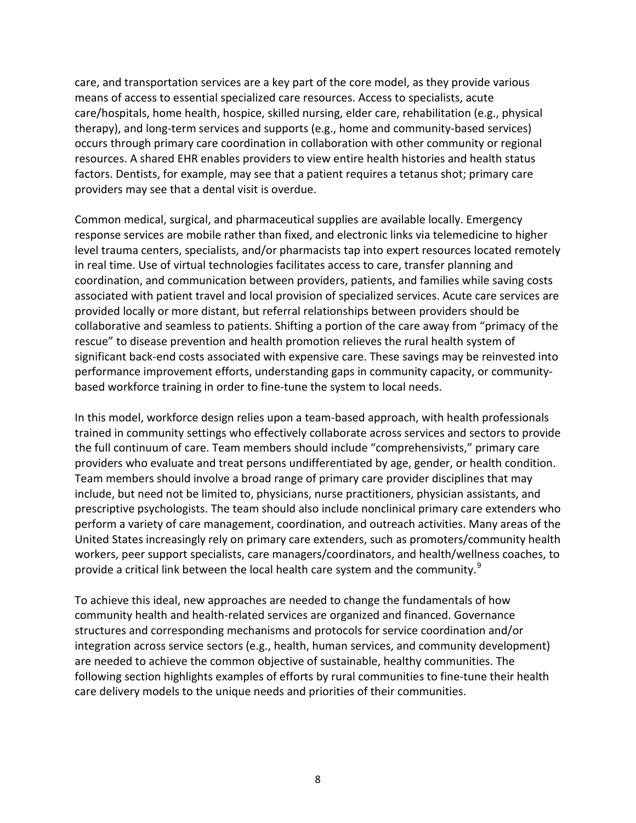care, and transportation services are a key part of the core model, as they provide various means of access to essential specialized care resources. Access to specialists, acute care/hospitals, home health, hospice, skilled nursing, elder care, rehabilitation (e.g., physical therapy), and long-term services and supports (e.g., home and community-based services) occurs through primary care coordination in collaboration with other community or regional resources. A shared EHR enables providers to view entire health histories and health status factors. Dentists, for example, may see that a patient requires a tetanus shot; primary care providers may see that a dental visit is overdue.

Common medical, surgical, and pharmaceutical supplies are available locally. Emergency response services are mobile rather than fixed, and electronic links via telemedicine to higher level trauma centers, specialists, and/or pharmacists tap into expert resources located remotely in real time. Use of virtual technologies facilitates access to care, transfer planning and coordination, and communication between providers, patients, and families while saving costs associated with patient travel and local provision of specialized services. Acute care services are provided locally or more distant, but referral relationships between providers should be collaborative and seamless to patients. Shifting a portion of the care away from "primacy of the rescue" to disease prevention and health promotion relieves the rural health system of significant back-end costs associated with expensive care. These savings may be reinvested into performance improvement efforts, understanding gaps in community capacity, or communitybased workforce training in order to fine-tune the system to local needs.

In this model, workforce design relies upon a team-based approach, with health professionals trained in community settings who effectively collaborate across services and sectors to provide the full continuum of care. Team members should include "comprehensivists," primary care providers who evaluate and treat persons undifferentiated by age, gender, or health condition. Team members should involve a broad range of primary care provider disciplines that may include, but need not be limited to, physicians, nurse practitioners, physician assistants, and prescriptive psychologists. The team should also include nonclinical primary care extenders who perform a variety of care management, coordination, and outreach activities. Many areas of the United States increasingly rely on primary care extenders, such as promoters/community health workers, peer support specialists, care managers/coordinators, and health/wellness coaches, to provide a critical link between the local health care system and the community.<sup>[9](#page-30-1)</sup>

To achieve this ideal, new approaches are needed to change the fundamentals of how community health and health-related services are organized and financed. Governance structures and corresponding mechanisms and protocols for service coordination and/or integration across service sectors (e.g., health, human services, and community development) are needed to achieve the common objective of sustainable, healthy communities. The following section highlights examples of efforts by rural communities to fine-tune their health care delivery models to the unique needs and priorities of their communities.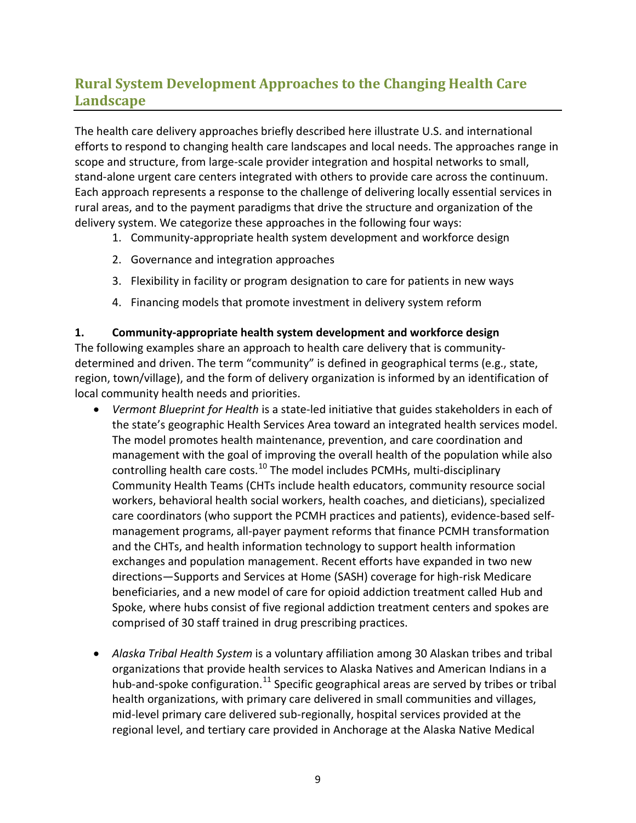# <span id="page-11-0"></span>**Rural System Development Approaches to the Changing Health Care Landscape**

The health care delivery approaches briefly described here illustrate U.S. and international efforts to respond to changing health care landscapes and local needs. The approaches range in scope and structure, from large-scale provider integration and hospital networks to small, stand-alone urgent care centers integrated with others to provide care across the continuum. Each approach represents a response to the challenge of delivering locally essential services in rural areas, and to the payment paradigms that drive the structure and organization of the delivery system. We categorize these approaches in the following four ways:

- 1. Community-appropriate health system development and workforce design
- 2. Governance and integration approaches
- 3. Flexibility in facility or program designation to care for patients in new ways
- 4. Financing models that promote investment in delivery system reform

#### **1. Community-appropriate health system development and workforce design**

The following examples share an approach to health care delivery that is communitydetermined and driven. The term "community" is defined in geographical terms (e.g., state, region, town/village), and the form of delivery organization is informed by an identification of local community health needs and priorities.

- *Vermont Blueprint for Health* is a state-led initiative that guides stakeholders in each of the state's geographic Health Services Area toward an integrated health services model. The model promotes health maintenance, prevention, and care coordination and management with the goal of improving the overall health of the population while also controlling health care costs.<sup>[10](#page-30-2)</sup> The model includes PCMHs, multi-disciplinary Community Health Teams (CHTs include health educators, community resource social workers, behavioral health social workers, health coaches, and dieticians), specialized care coordinators (who support the PCMH practices and patients), evidence-based selfmanagement programs, all-payer payment reforms that finance PCMH transformation and the CHTs, and health information technology to support health information exchanges and population management. Recent efforts have expanded in two new directions—Supports and Services at Home (SASH) coverage for high-risk Medicare beneficiaries, and a new model of care for opioid addiction treatment called Hub and Spoke, where hubs consist of five regional addiction treatment centers and spokes are comprised of 30 staff trained in drug prescribing practices.
- *Alaska Tribal Health System* is a voluntary affiliation among 30 Alaskan tribes and tribal organizations that provide health services to Alaska Natives and American Indians in a hub-and-spoke configuration.<sup>[11](#page-30-3)</sup> Specific geographical areas are served by tribes or tribal health organizations, with primary care delivered in small communities and villages, mid-level primary care delivered sub-regionally, hospital services provided at the regional level, and tertiary care provided in Anchorage at the Alaska Native Medical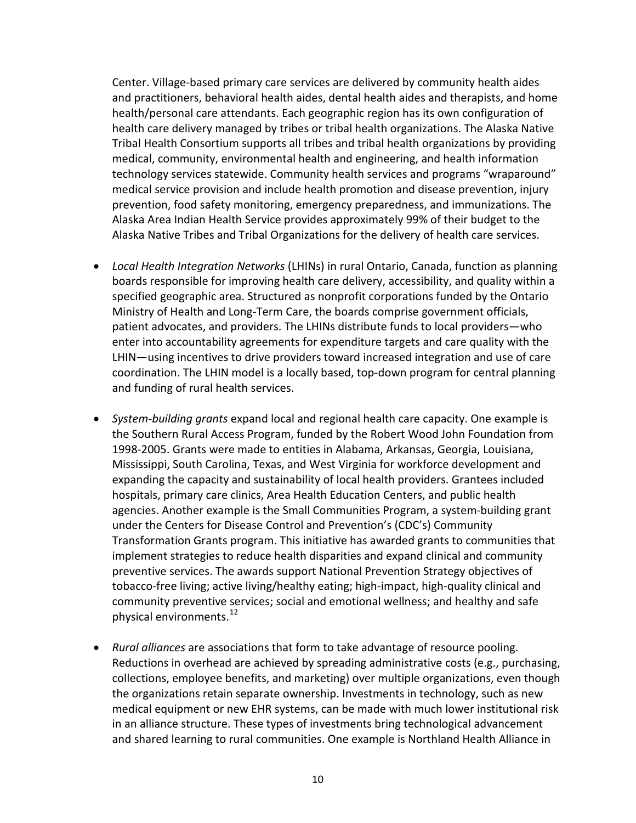Center. Village-based primary care services are delivered by community health aides and practitioners, behavioral health aides, dental health aides and therapists, and home health/personal care attendants. Each geographic region has its own configuration of health care delivery managed by tribes or tribal health organizations. The Alaska Native Tribal Health Consortium supports all tribes and tribal health organizations by providing medical, community, environmental health and engineering, and health information technology services statewide. Community health services and programs "wraparound" medical service provision and include health promotion and disease prevention, injury prevention, food safety monitoring, emergency preparedness, and immunizations. The Alaska Area Indian Health Service provides approximately 99% of their budget to the Alaska Native Tribes and Tribal Organizations for the delivery of health care services.

- *Local Health Integration Networks* (LHINs) in rural Ontario, Canada, function as planning boards responsible for improving health care delivery, accessibility, and quality within a specified geographic area. Structured as nonprofit corporations funded by the Ontario Ministry of Health and Long-Term Care, the boards comprise government officials, patient advocates, and providers. The LHINs distribute funds to local providers—who enter into accountability agreements for expenditure targets and care quality with the LHIN—using incentives to drive providers toward increased integration and use of care coordination. The LHIN model is a locally based, top-down program for central planning and funding of rural health services.
- *System-building grants* expand local and regional health care capacity. One example is the Southern Rural Access Program, funded by the Robert Wood John Foundation from 1998-2005. Grants were made to entities in Alabama, Arkansas, Georgia, Louisiana, Mississippi, South Carolina, Texas, and West Virginia for workforce development and expanding the capacity and sustainability of local health providers. Grantees included hospitals, primary care clinics, Area Health Education Centers, and public health agencies. Another example is the Small Communities Program, a system-building grant under the Centers for Disease Control and Prevention's (CDC's) Community Transformation Grants program. This initiative has awarded grants to communities that implement strategies to reduce health disparities and expand clinical and community preventive services. The awards support National Prevention Strategy objectives of tobacco-free living; active living/healthy eating; high-impact, high-quality clinical and community preventive services; social and emotional wellness; and healthy and safe physical environments.<sup>[12](#page-30-4)</sup>
- *Rural alliances* are associations that form to take advantage of resource pooling. Reductions in overhead are achieved by spreading administrative costs (e.g., purchasing, collections, employee benefits, and marketing) over multiple organizations, even though the organizations retain separate ownership. Investments in technology, such as new medical equipment or new EHR systems, can be made with much lower institutional risk in an alliance structure. These types of investments bring technological advancement and shared learning to rural communities. One example is Northland Health Alliance in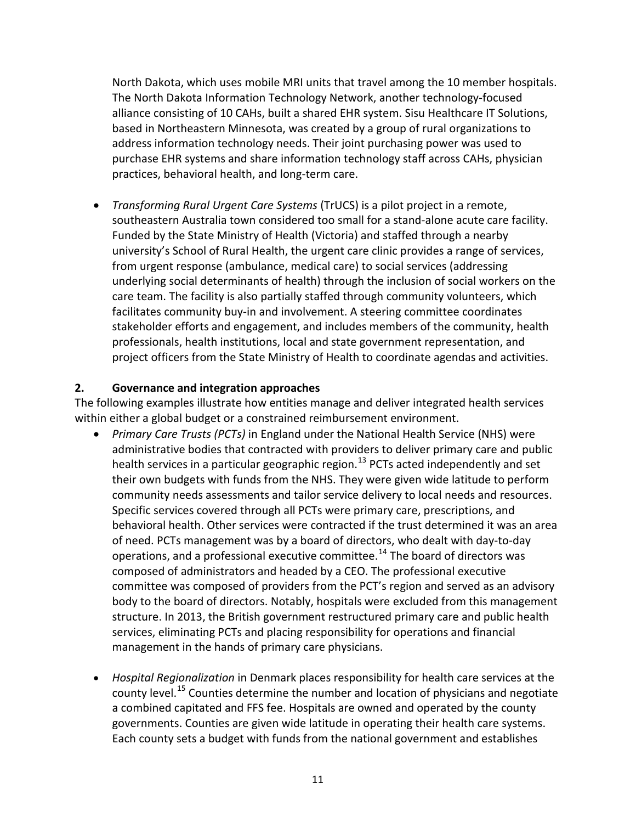North Dakota, which uses mobile MRI units that travel among the 10 member hospitals. The North Dakota Information Technology Network, another technology-focused alliance consisting of 10 CAHs, built a shared EHR system. Sisu Healthcare IT Solutions, based in Northeastern Minnesota, was created by a group of rural organizations to address information technology needs. Their joint purchasing power was used to purchase EHR systems and share information technology staff across CAHs, physician practices, behavioral health, and long-term care.

• *Transforming Rural Urgent Care Systems* (TrUCS) is a pilot project in a remote, southeastern Australia town considered too small for a stand-alone acute care facility. Funded by the State Ministry of Health (Victoria) and staffed through a nearby university's School of Rural Health, the urgent care clinic provides a range of services, from urgent response (ambulance, medical care) to social services (addressing underlying social determinants of health) through the inclusion of social workers on the care team. The facility is also partially staffed through community volunteers, which facilitates community buy-in and involvement. A steering committee coordinates stakeholder efforts and engagement, and includes members of the community, health professionals, health institutions, local and state government representation, and project officers from the State Ministry of Health to coordinate agendas and activities.

#### **2. Governance and integration approaches**

The following examples illustrate how entities manage and deliver integrated health services within either a global budget or a constrained reimbursement environment.

- *Primary Care Trusts (PCTs)* in England under the National Health Service (NHS) were administrative bodies that contracted with providers to deliver primary care and public health services in a particular geographic region.<sup>[13](#page-30-5)</sup> PCTs acted independently and set their own budgets with funds from the NHS. They were given wide latitude to perform community needs assessments and tailor service delivery to local needs and resources. Specific services covered through all PCTs were primary care, prescriptions, and behavioral health. Other services were contracted if the trust determined it was an area of need. PCTs management was by a board of directors, who dealt with day-to-day operations, and a professional executive committee.<sup>[14](#page-30-6)</sup> The board of directors was composed of administrators and headed by a CEO. The professional executive committee was composed of providers from the PCT's region and served as an advisory body to the board of directors. Notably, hospitals were excluded from this management structure. In 2013, the British government restructured primary care and public health services, eliminating PCTs and placing responsibility for operations and financial management in the hands of primary care physicians.
- *Hospital Regionalization* in Denmark places responsibility for health care services at the county level.<sup>[15](#page-30-7)</sup> Counties determine the number and location of physicians and negotiate a combined capitated and FFS fee. Hospitals are owned and operated by the county governments. Counties are given wide latitude in operating their health care systems. Each county sets a budget with funds from the national government and establishes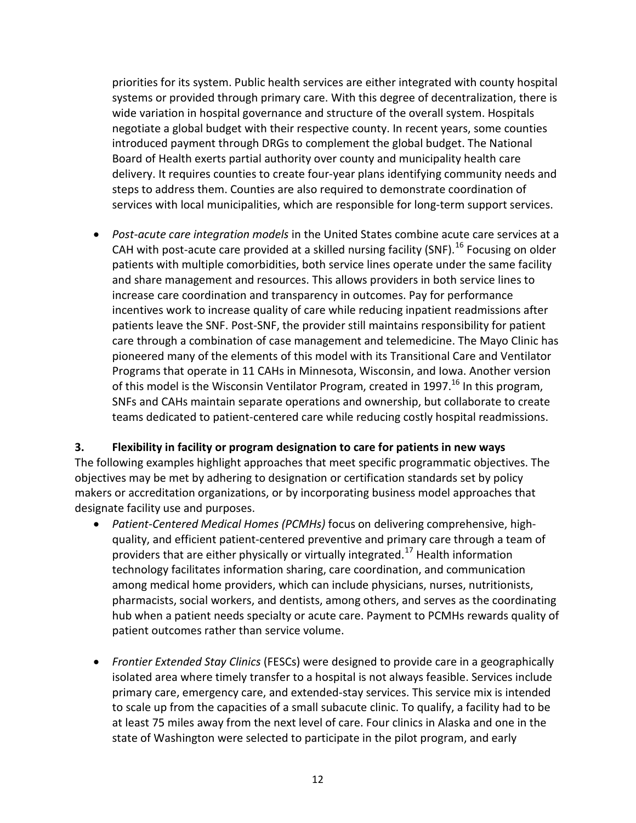priorities for its system. Public health services are either integrated with county hospital systems or provided through primary care. With this degree of decentralization, there is wide variation in hospital governance and structure of the overall system. Hospitals negotiate a global budget with their respective county. In recent years, some counties introduced payment through DRGs to complement the global budget. The National Board of Health exerts partial authority over county and municipality health care delivery. It requires counties to create four-year plans identifying community needs and steps to address them. Counties are also required to demonstrate coordination of services with local municipalities, which are responsible for long-term support services.

<span id="page-14-0"></span>• *Post-acute care integration models* in the United States combine acute care services at a CAH with post-acute care provided at a skilled nursing facility (SNF).<sup>[16](#page-30-8)</sup> Focusing on older patients with multiple comorbidities, both service lines operate under the same facility and share management and resources. This allows providers in both service lines to increase care coordination and transparency in outcomes. Pay for performance incentives work to increase quality of care while reducing inpatient readmissions after patients leave the SNF. Post-SNF, the provider still maintains responsibility for patient care through a combination of case management and telemedicine. The Mayo Clinic has pioneered many of the elements of this model with its Transitional Care and Ventilator Programs that operate in 11 CAHs in Minnesota, Wisconsin, and Iowa. Another version of this model is the Wisconsin Ventilator Program, created in 1997.<sup>16</sup> In this program, SNFs and CAHs maintain separate operations and ownership, but collaborate to create teams dedicated to patient-centered care while reducing costly hospital readmissions.

#### **3. Flexibility in facility or program designation to care for patients in new ways**

The following examples highlight approaches that meet specific programmatic objectives. The objectives may be met by adhering to designation or certification standards set by policy makers or accreditation organizations, or by incorporating business model approaches that designate facility use and purposes.

- *Patient-Centered Medical Homes (PCMHs)* focus on delivering comprehensive, highquality, and efficient patient-centered preventive and primary care through a team of providers that are either physically or virtually integrated.<sup>[17](#page-30-9)</sup> Health information technology facilitates information sharing, care coordination, and communication among medical home providers, which can include physicians, nurses, nutritionists, pharmacists, social workers, and dentists, among others, and serves as the coordinating hub when a patient needs specialty or acute care. Payment to PCMHs rewards quality of patient outcomes rather than service volume.
- *Frontier Extended Stay Clinics* (FESCs) were designed to provide care in a geographically isolated area where timely transfer to a hospital is not always feasible. Services include primary care, emergency care, and extended-stay services. This service mix is intended to scale up from the capacities of a small subacute clinic. To qualify, a facility had to be at least 75 miles away from the next level of care. Four clinics in Alaska and one in the state of Washington were selected to participate in the pilot program, and early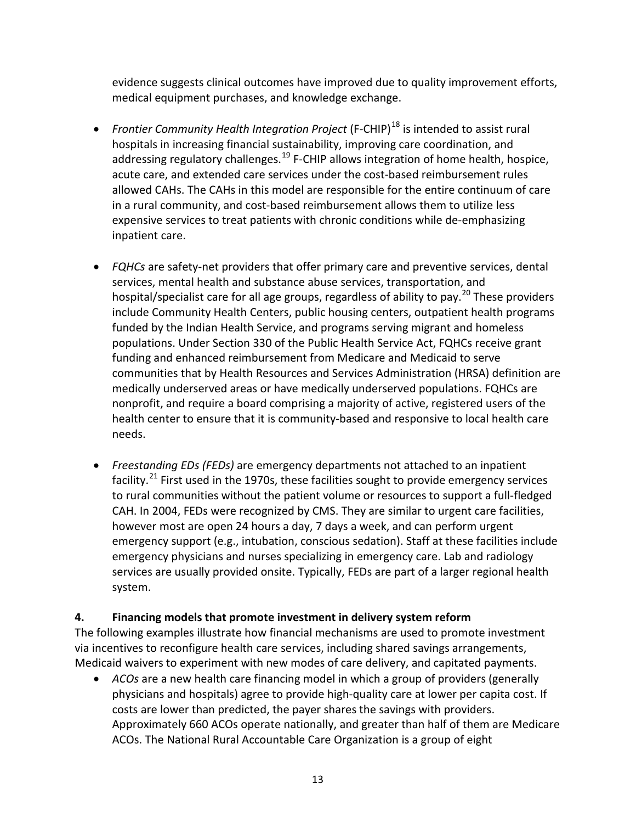evidence suggests clinical outcomes have improved due to quality improvement efforts, medical equipment purchases, and knowledge exchange.

- *Frontier Community Health Integration Project* (F-CHIP)<sup>[18](#page-30-10)</sup> is intended to assist rural hospitals in increasing financial sustainability, improving care coordination, and addressing regulatory challenges.<sup>[19](#page-30-11)</sup> F-CHIP allows integration of home health, hospice, acute care, and extended care services under the cost-based reimbursement rules allowed CAHs. The CAHs in this model are responsible for the entire continuum of care in a rural community, and cost-based reimbursement allows them to utilize less expensive services to treat patients with chronic conditions while de-emphasizing inpatient care.
- *FQHCs* are safety-net providers that offer primary care and preventive services, dental services, mental health and substance abuse services, transportation, and hospital/specialist care for all age groups, regardless of ability to pay.<sup>[20](#page-30-12)</sup> These providers include Community Health Centers, public housing centers, outpatient health programs funded by the Indian Health Service, and programs serving migrant and homeless populations. Under Section 330 of the Public Health Service Act, FQHCs receive grant funding and enhanced reimbursement from Medicare and Medicaid to serve communities that by Health Resources and Services Administration (HRSA) definition are medically underserved areas or have medically underserved populations. FQHCs are nonprofit, and require a board comprising a majority of active, registered users of the health center to ensure that it is community-based and responsive to local health care needs.
- *Freestanding EDs (FEDs)* are emergency departments not attached to an inpatient facility. $^{21}$  $^{21}$  $^{21}$  First used in the 1970s, these facilities sought to provide emergency services to rural communities without the patient volume or resources to support a full-fledged CAH. In 2004, FEDs were recognized by CMS. They are similar to urgent care facilities, however most are open 24 hours a day, 7 days a week, and can perform urgent emergency support (e.g., intubation, conscious sedation). Staff at these facilities include emergency physicians and nurses specializing in emergency care. Lab and radiology services are usually provided onsite. Typically, FEDs are part of a larger regional health system.

### **4. Financing models that promote investment in delivery system reform**

The following examples illustrate how financial mechanisms are used to promote investment via incentives to reconfigure health care services, including shared savings arrangements, Medicaid waivers to experiment with new modes of care delivery, and capitated payments.

• *ACOs* are a new health care financing model in which a group of providers (generally physicians and hospitals) agree to provide high-quality care at lower per capita cost. If costs are lower than predicted, the payer shares the savings with providers. Approximately 660 ACOs operate nationally, and greater than half of them are Medicare ACOs. The National Rural Accountable Care Organization is a group of eight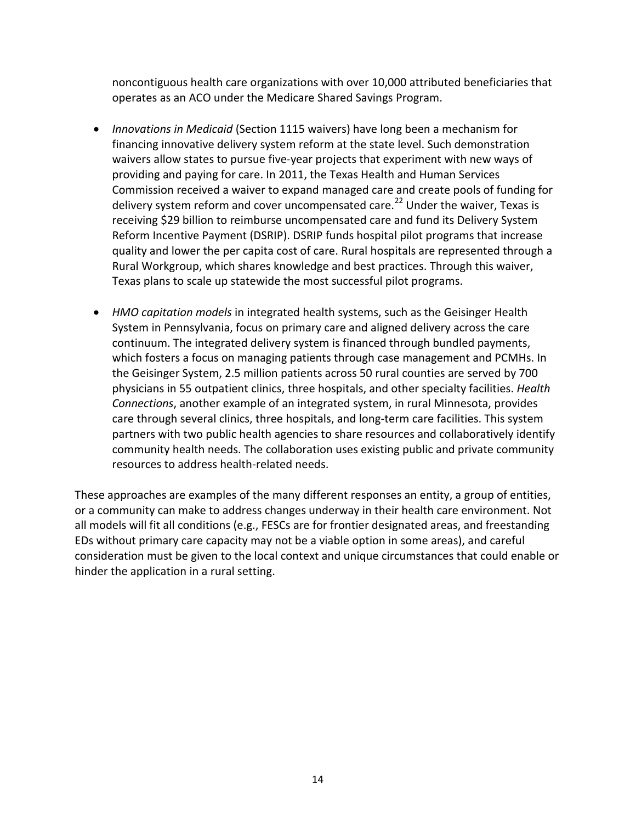noncontiguous health care organizations with over 10,000 attributed beneficiaries that operates as an ACO under the Medicare Shared Savings Program.

- *Innovations in Medicaid* (Section 1115 waivers) have long been a mechanism for financing innovative delivery system reform at the state level. Such demonstration waivers allow states to pursue five-year projects that experiment with new ways of providing and paying for care. In 2011, the Texas Health and Human Services Commission received a waiver to expand managed care and create pools of funding for delivery system reform and cover uncompensated care.<sup>[22](#page-30-14)</sup> Under the waiver, Texas is receiving \$29 billion to reimburse uncompensated care and fund its Delivery System Reform Incentive Payment (DSRIP). DSRIP funds hospital pilot programs that increase quality and lower the per capita cost of care. Rural hospitals are represented through a Rural Workgroup, which shares knowledge and best practices. Through this waiver, Texas plans to scale up statewide the most successful pilot programs.
- *HMO capitation models* in integrated health systems, such as the Geisinger Health System in Pennsylvania, focus on primary care and aligned delivery across the care continuum. The integrated delivery system is financed through bundled payments, which fosters a focus on managing patients through case management and PCMHs. In the Geisinger System, 2.5 million patients across 50 rural counties are served by 700 physicians in 55 outpatient clinics, three hospitals, and other specialty facilities. *Health Connections*, another example of an integrated system, in rural Minnesota, provides care through several clinics, three hospitals, and long-term care facilities. This system partners with two public health agencies to share resources and collaboratively identify community health needs. The collaboration uses existing public and private community resources to address health-related needs.

These approaches are examples of the many different responses an entity, a group of entities, or a community can make to address changes underway in their health care environment. Not all models will fit all conditions (e.g., FESCs are for frontier designated areas, and freestanding EDs without primary care capacity may not be a viable option in some areas), and careful consideration must be given to the local context and unique circumstances that could enable or hinder the application in a rural setting.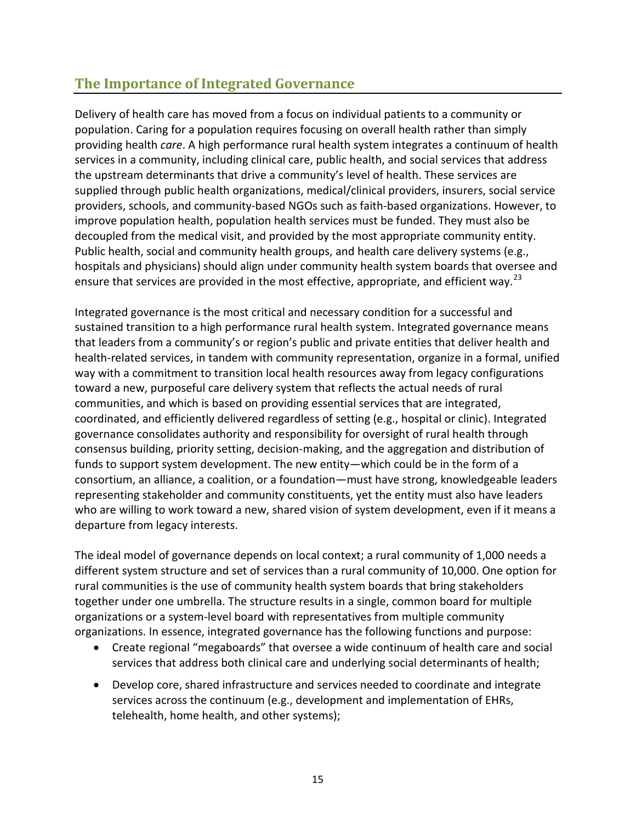### <span id="page-17-0"></span>**The Importance of Integrated Governance**

Delivery of health care has moved from a focus on individual patients to a community or population. Caring for a population requires focusing on overall health rather than simply providing health *care*. A high performance rural health system integrates a continuum of health services in a community, including clinical care, public health, and social services that address the upstream determinants that drive a community's level of health. These services are supplied through public health organizations, medical/clinical providers, insurers, social service providers, schools, and community-based NGOs such as faith-based organizations. However, to improve population health, population health services must be funded. They must also be decoupled from the medical visit, and provided by the most appropriate community entity. Public health, social and community health groups, and health care delivery systems (e.g., hospitals and physicians) should align under community health system boards that oversee and ensure that services are provided in the most effective, appropriate, and efficient way.<sup>[23](#page-30-15)</sup>

Integrated governance is the most critical and necessary condition for a successful and sustained transition to a high performance rural health system. Integrated governance means that leaders from a community's or region's public and private entities that deliver health and health-related services, in tandem with community representation, organize in a formal, unified way with a commitment to transition local health resources away from legacy configurations toward a new, purposeful care delivery system that reflects the actual needs of rural communities, and which is based on providing essential services that are integrated, coordinated, and efficiently delivered regardless of setting (e.g., hospital or clinic). Integrated governance consolidates authority and responsibility for oversight of rural health through consensus building, priority setting, decision-making, and the aggregation and distribution of funds to support system development. The new entity—which could be in the form of a consortium, an alliance, a coalition, or a foundation—must have strong, knowledgeable leaders representing stakeholder and community constituents, yet the entity must also have leaders who are willing to work toward a new, shared vision of system development, even if it means a departure from legacy interests.

The ideal model of governance depends on local context; a rural community of 1,000 needs a different system structure and set of services than a rural community of 10,000. One option for rural communities is the use of community health system boards that bring stakeholders together under one umbrella. The structure results in a single, common board for multiple organizations or a system-level board with representatives from multiple community organizations. In essence, integrated governance has the following functions and purpose:

- Create regional "megaboards" that oversee a wide continuum of health care and social services that address both clinical care and underlying social determinants of health;
- Develop core, shared infrastructure and services needed to coordinate and integrate services across the continuum (e.g., development and implementation of EHRs, telehealth, home health, and other systems);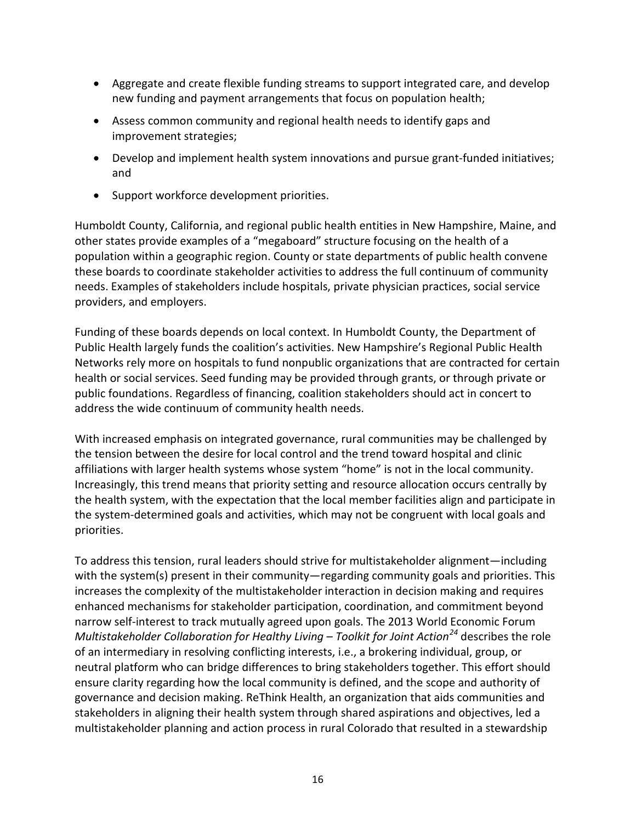- Aggregate and create flexible funding streams to support integrated care, and develop new funding and payment arrangements that focus on population health;
- Assess common community and regional health needs to identify gaps and improvement strategies;
- Develop and implement health system innovations and pursue grant-funded initiatives; and
- Support workforce development priorities.

Humboldt County, California, and regional public health entities in New Hampshire, Maine, and other states provide examples of a "megaboard" structure focusing on the health of a population within a geographic region. County or state departments of public health convene these boards to coordinate stakeholder activities to address the full continuum of community needs. Examples of stakeholders include hospitals, private physician practices, social service providers, and employers.

Funding of these boards depends on local context. In Humboldt County, the Department of Public Health largely funds the coalition's activities. New Hampshire's Regional Public Health Networks rely more on hospitals to fund nonpublic organizations that are contracted for certain health or social services. Seed funding may be provided through grants, or through private or public foundations. Regardless of financing, coalition stakeholders should act in concert to address the wide continuum of community health needs.

With increased emphasis on integrated governance, rural communities may be challenged by the tension between the desire for local control and the trend toward hospital and clinic affiliations with larger health systems whose system "home" is not in the local community. Increasingly, this trend means that priority setting and resource allocation occurs centrally by the health system, with the expectation that the local member facilities align and participate in the system-determined goals and activities, which may not be congruent with local goals and priorities.

To address this tension, rural leaders should strive for multistakeholder alignment—including with the system(s) present in their community—regarding community goals and priorities. This increases the complexity of the multistakeholder interaction in decision making and requires enhanced mechanisms for stakeholder participation, coordination, and commitment beyond narrow self-interest to track mutually agreed upon goals. The 2013 World Economic Forum *Multistakeholder Collaboration for Healthy Living – Toolkit for Joint Action[24](#page-30-16)* describes the role of an intermediary in resolving conflicting interests, i.e., a brokering individual, group, or neutral platform who can bridge differences to bring stakeholders together. This effort should ensure clarity regarding how the local community is defined, and the scope and authority of governance and decision making. ReThink Health, an organization that aids communities and stakeholders in aligning their health system through shared aspirations and objectives, led a multistakeholder planning and action process in rural Colorado that resulted in a stewardship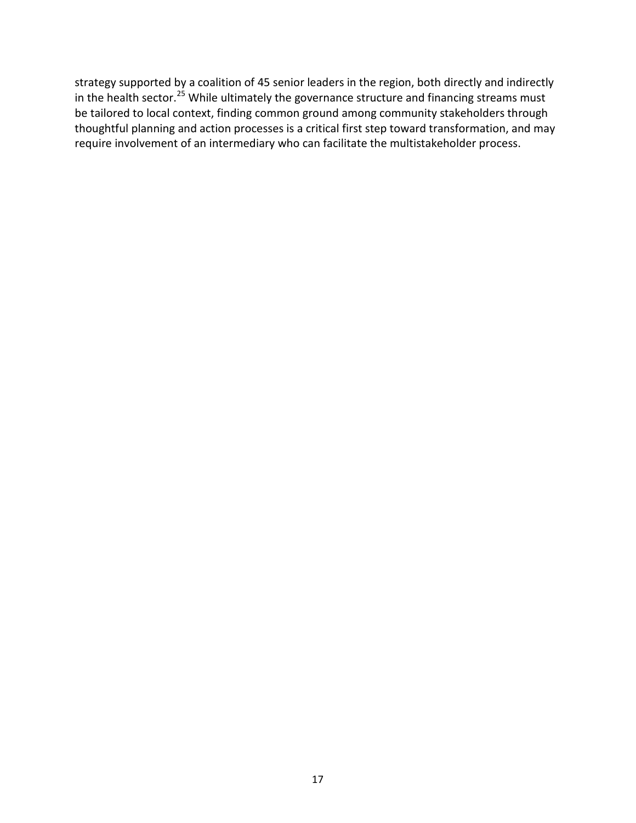strategy supported by a coalition of 45 senior leaders in the region, both directly and indirectly in the health sector.<sup>[25](#page-30-17)</sup> While ultimately the governance structure and financing streams must be tailored to local context, finding common ground among community stakeholders through thoughtful planning and action processes is a critical first step toward transformation, and may require involvement of an intermediary who can facilitate the multistakeholder process.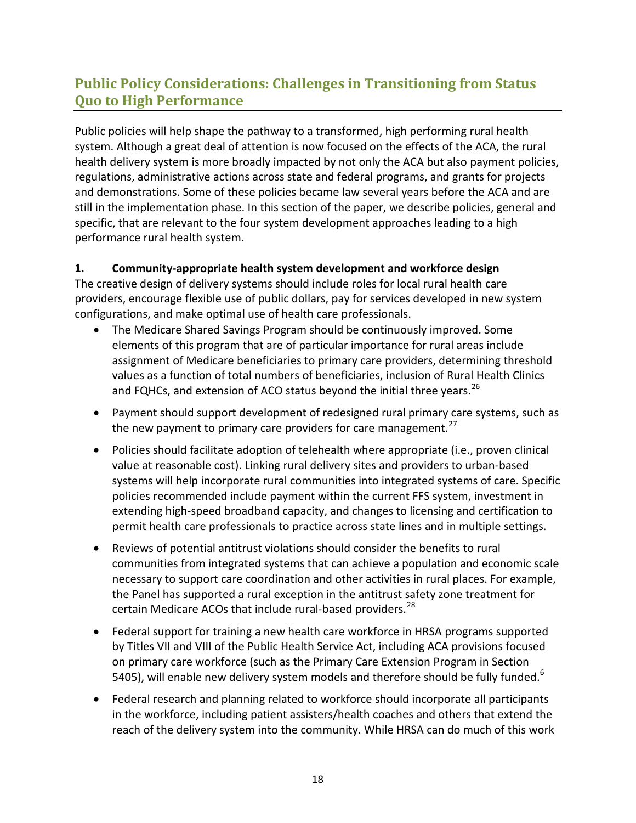# <span id="page-20-0"></span>**Public Policy Considerations: Challenges in Transitioning from Status Quo to High Performance**

Public policies will help shape the pathway to a transformed, high performing rural health system. Although a great deal of attention is now focused on the effects of the ACA, the rural health delivery system is more broadly impacted by not only the ACA but also payment policies, regulations, administrative actions across state and federal programs, and grants for projects and demonstrations. Some of these policies became law several years before the ACA and are still in the implementation phase. In this section of the paper, we describe policies, general and specific, that are relevant to the four system development approaches leading to a high performance rural health system.

### **1. Community-appropriate health system development and workforce design**

The creative design of delivery systems should include roles for local rural health care providers, encourage flexible use of public dollars, pay for services developed in new system configurations, and make optimal use of health care professionals.

- The Medicare Shared Savings Program should be continuously improved. Some elements of this program that are of particular importance for rural areas include assignment of Medicare beneficiaries to primary care providers, determining threshold values as a function of total numbers of beneficiaries, inclusion of Rural Health Clinics and FQHCs, and extension of ACO status beyond the initial three years.<sup>[26](#page-30-18)</sup>
- Payment should support development of redesigned rural primary care systems, such as the new payment to primary care providers for care management. $27$
- Policies should facilitate adoption of telehealth where appropriate (i.e., proven clinical value at reasonable cost). Linking rural delivery sites and providers to urban-based systems will help incorporate rural communities into integrated systems of care. Specific policies recommended include payment within the current FFS system, investment in extending high-speed broadband capacity, and changes to licensing and certification to permit health care professionals to practice across state lines and in multiple settings.
- Reviews of potential antitrust violations should consider the benefits to rural communities from integrated systems that can achieve a population and economic scale necessary to support care coordination and other activities in rural places. For example, the Panel has supported a rural exception in the antitrust safety zone treatment for certain Medicare ACOs that include rural-based providers.<sup>[28](#page-30-20)</sup>
- Federal support for training a new health care workforce in HRSA programs supported by Titles VII and VIII of the Public Health Service Act, including ACA provisions focused on primary care workforce (such as the Primary Care Extension Program in Section 5405), will enable new delivery system models and therefore should be fully funded. $6$
- Federal research and planning related to workforce should incorporate all participants in the workforce, including patient assisters/health coaches and others that extend the reach of the delivery system into the community. While HRSA can do much of this work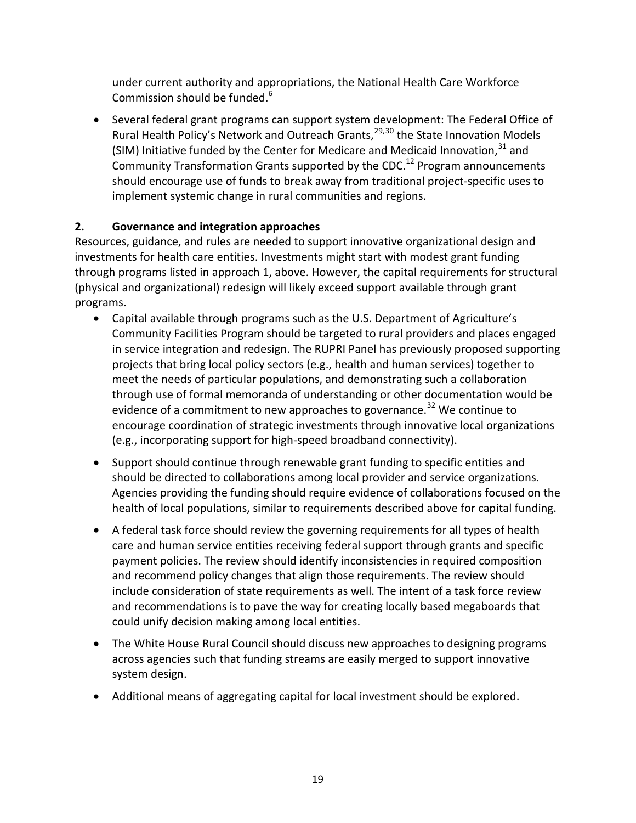under current authority and appropriations, the National Health Care Workforce Commission should be funded.<sup>6</sup>

• Several federal grant programs can support system development: The Federal Office of Rural Health Policy's Network and Outreach Grants,<sup>[29,](#page-30-21)[30](#page-30-22)</sup> the State Innovation Models (SIM) Initiative funded by the Center for Medicare and Medicaid Innovation,  $31$  and Community Transformation Grants supported by the CDC.<sup>12</sup> Program announcements should encourage use of funds to break away from traditional project-specific uses to implement systemic change in rural communities and regions.

### **2. Governance and integration approaches**

Resources, guidance, and rules are needed to support innovative organizational design and investments for health care entities. Investments might start with modest grant funding through programs listed in approach 1, above. However, the capital requirements for structural (physical and organizational) redesign will likely exceed support available through grant programs.

- Capital available through programs such as the U.S. Department of Agriculture's Community Facilities Program should be targeted to rural providers and places engaged in service integration and redesign. The RUPRI Panel has previously proposed supporting projects that bring local policy sectors (e.g., health and human services) together to meet the needs of particular populations, and demonstrating such a collaboration through use of formal memoranda of understanding or other documentation would be evidence of a commitment to new approaches to governance.<sup>[32](#page-30-24)</sup> We continue to encourage coordination of strategic investments through innovative local organizations (e.g., incorporating support for high-speed broadband connectivity).
- Support should continue through renewable grant funding to specific entities and should be directed to collaborations among local provider and service organizations. Agencies providing the funding should require evidence of collaborations focused on the health of local populations, similar to requirements described above for capital funding.
- A federal task force should review the governing requirements for all types of health care and human service entities receiving federal support through grants and specific payment policies. The review should identify inconsistencies in required composition and recommend policy changes that align those requirements. The review should include consideration of state requirements as well. The intent of a task force review and recommendations is to pave the way for creating locally based megaboards that could unify decision making among local entities.
- The White House Rural Council should discuss new approaches to designing programs across agencies such that funding streams are easily merged to support innovative system design.
- Additional means of aggregating capital for local investment should be explored.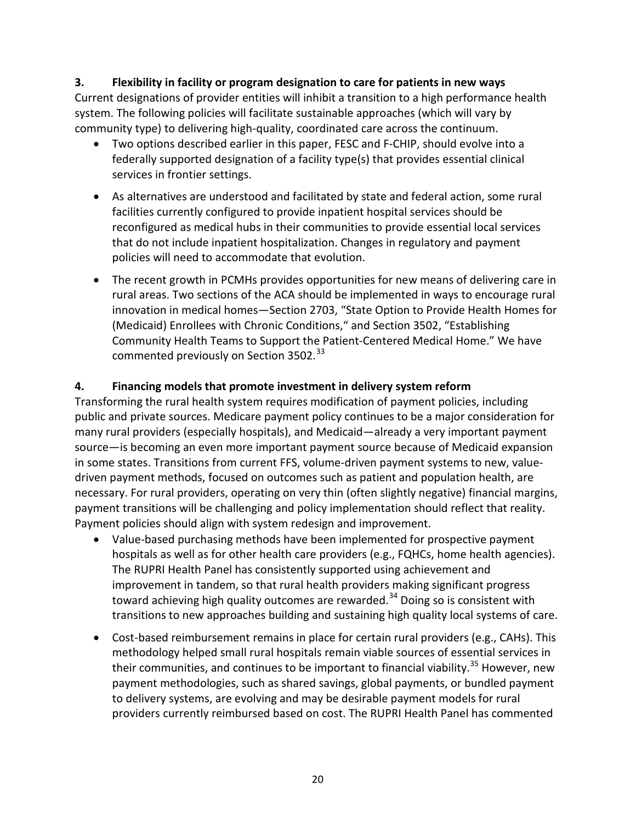#### **3. Flexibility in facility or program designation to care for patients in new ways**

Current designations of provider entities will inhibit a transition to a high performance health system. The following policies will facilitate sustainable approaches (which will vary by community type) to delivering high-quality, coordinated care across the continuum.

- Two options described earlier in this paper, FESC and F-CHIP, should evolve into a federally supported designation of a facility type(s) that provides essential clinical services in frontier settings.
- As alternatives are understood and facilitated by state and federal action, some rural facilities currently configured to provide inpatient hospital services should be reconfigured as medical hubs in their communities to provide essential local services that do not include inpatient hospitalization. Changes in regulatory and payment policies will need to accommodate that evolution.
- The recent growth in PCMHs provides opportunities for new means of delivering care in rural areas. Two sections of the ACA should be implemented in ways to encourage rural innovation in medical homes—Section 2703, "State Option to Provide Health Homes for (Medicaid) Enrollees with Chronic Conditions," and Section 3502, "Establishing Community Health Teams to Support the Patient-Centered Medical Home." We have commented previously on Section 3502.<sup>[33](#page-30-25)</sup>

#### **4. Financing models that promote investment in delivery system reform**

Transforming the rural health system requires modification of payment policies, including public and private sources. Medicare payment policy continues to be a major consideration for many rural providers (especially hospitals), and Medicaid—already a very important payment source—is becoming an even more important payment source because of Medicaid expansion in some states. Transitions from current FFS, volume-driven payment systems to new, valuedriven payment methods, focused on outcomes such as patient and population health, are necessary. For rural providers, operating on very thin (often slightly negative) financial margins, payment transitions will be challenging and policy implementation should reflect that reality. Payment policies should align with system redesign and improvement.

- Value-based purchasing methods have been implemented for prospective payment hospitals as well as for other health care providers (e.g., FQHCs, home health agencies). The RUPRI Health Panel has consistently supported using achievement and improvement in tandem, so that rural health providers making significant progress toward achieving high quality outcomes are rewarded.<sup>[34](#page-30-26)</sup> Doing so is consistent with transitions to new approaches building and sustaining high quality local systems of care.
- Cost-based reimbursement remains in place for certain rural providers (e.g., CAHs). This methodology helped small rural hospitals remain viable sources of essential services in their communities, and continues to be important to financial viability.<sup>[35](#page-30-27)</sup> However, new payment methodologies, such as shared savings, global payments, or bundled payment to delivery systems, are evolving and may be desirable payment models for rural providers currently reimbursed based on cost. The RUPRI Health Panel has commented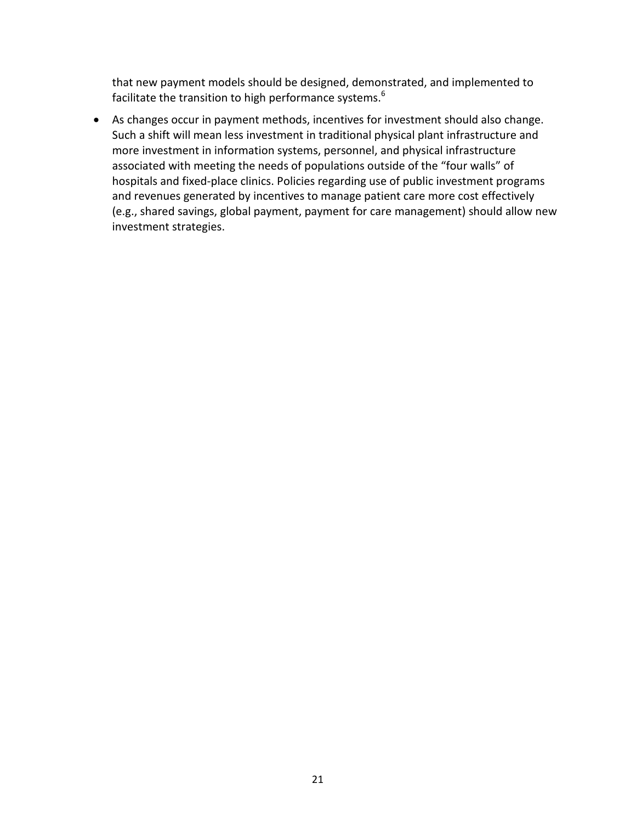that new payment models should be designed, demonstrated, and implemented to facilitate the transition to high performance systems.<sup>6</sup>

• As changes occur in payment methods, incentives for investment should also change. Such a shift will mean less investment in traditional physical plant infrastructure and more investment in information systems, personnel, and physical infrastructure associated with meeting the needs of populations outside of the "four walls" of hospitals and fixed-place clinics. Policies regarding use of public investment programs and revenues generated by incentives to manage patient care more cost effectively (e.g., shared savings, global payment, payment for care management) should allow new investment strategies.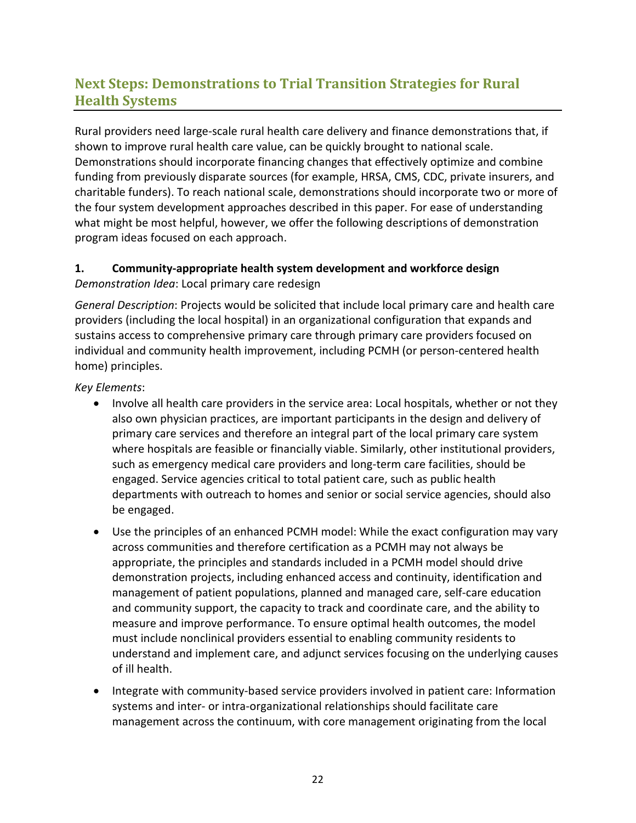# <span id="page-24-0"></span>**Next Steps: Demonstrations to Trial Transition Strategies for Rural Health Systems**

Rural providers need large-scale rural health care delivery and finance demonstrations that, if shown to improve rural health care value, can be quickly brought to national scale. Demonstrations should incorporate financing changes that effectively optimize and combine funding from previously disparate sources (for example, HRSA, CMS, CDC, private insurers, and charitable funders). To reach national scale, demonstrations should incorporate two or more of the four system development approaches described in this paper. For ease of understanding what might be most helpful, however, we offer the following descriptions of demonstration program ideas focused on each approach.

#### **1. Community-appropriate health system development and workforce design** *Demonstration Idea*: Local primary care redesign

*General Description*: Projects would be solicited that include local primary care and health care providers (including the local hospital) in an organizational configuration that expands and sustains access to comprehensive primary care through primary care providers focused on individual and community health improvement, including PCMH (or person-centered health home) principles.

*Key Elements*:

- Involve all health care providers in the service area: Local hospitals, whether or not they also own physician practices, are important participants in the design and delivery of primary care services and therefore an integral part of the local primary care system where hospitals are feasible or financially viable. Similarly, other institutional providers, such as emergency medical care providers and long-term care facilities, should be engaged. Service agencies critical to total patient care, such as public health departments with outreach to homes and senior or social service agencies, should also be engaged.
- Use the principles of an enhanced PCMH model: While the exact configuration may vary across communities and therefore certification as a PCMH may not always be appropriate, the principles and standards included in a PCMH model should drive demonstration projects, including enhanced access and continuity, identification and management of patient populations, planned and managed care, self-care education and community support, the capacity to track and coordinate care, and the ability to measure and improve performance. To ensure optimal health outcomes, the model must include nonclinical providers essential to enabling community residents to understand and implement care, and adjunct services focusing on the underlying causes of ill health.
- Integrate with community-based service providers involved in patient care: Information systems and inter- or intra-organizational relationships should facilitate care management across the continuum, with core management originating from the local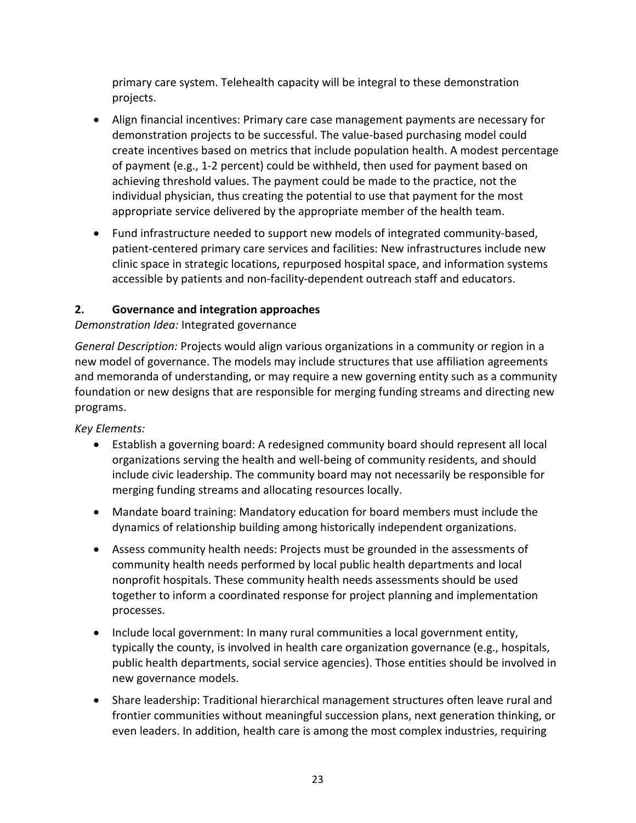primary care system. Telehealth capacity will be integral to these demonstration projects.

- Align financial incentives: Primary care case management payments are necessary for demonstration projects to be successful. The value-based purchasing model could create incentives based on metrics that include population health. A modest percentage of payment (e.g., 1-2 percent) could be withheld, then used for payment based on achieving threshold values. The payment could be made to the practice, not the individual physician, thus creating the potential to use that payment for the most appropriate service delivered by the appropriate member of the health team.
- Fund infrastructure needed to support new models of integrated community-based, patient-centered primary care services and facilities: New infrastructures include new clinic space in strategic locations, repurposed hospital space, and information systems accessible by patients and non-facility-dependent outreach staff and educators.

### **2. Governance and integration approaches**

### *Demonstration Idea:* Integrated governance

*General Description:* Projects would align various organizations in a community or region in a new model of governance. The models may include structures that use affiliation agreements and memoranda of understanding, or may require a new governing entity such as a community foundation or new designs that are responsible for merging funding streams and directing new programs.

*Key Elements:*

- Establish a governing board: A redesigned community board should represent all local organizations serving the health and well-being of community residents, and should include civic leadership. The community board may not necessarily be responsible for merging funding streams and allocating resources locally.
- Mandate board training: Mandatory education for board members must include the dynamics of relationship building among historically independent organizations.
- Assess community health needs: Projects must be grounded in the assessments of community health needs performed by local public health departments and local nonprofit hospitals. These community health needs assessments should be used together to inform a coordinated response for project planning and implementation processes.
- Include local government: In many rural communities a local government entity, typically the county, is involved in health care organization governance (e.g., hospitals, public health departments, social service agencies). Those entities should be involved in new governance models.
- Share leadership: Traditional hierarchical management structures often leave rural and frontier communities without meaningful succession plans, next generation thinking, or even leaders. In addition, health care is among the most complex industries, requiring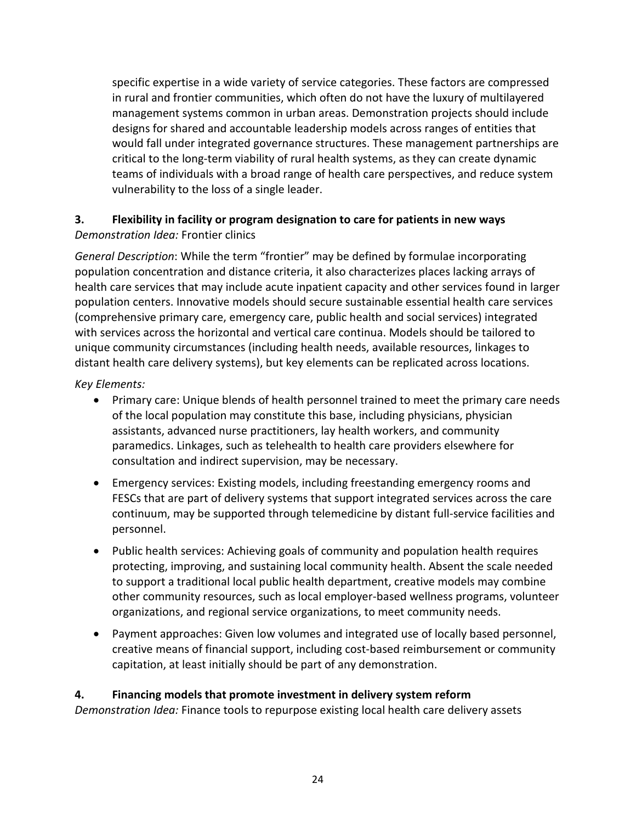specific expertise in a wide variety of service categories. These factors are compressed in rural and frontier communities, which often do not have the luxury of multilayered management systems common in urban areas. Demonstration projects should include designs for shared and accountable leadership models across ranges of entities that would fall under integrated governance structures. These management partnerships are critical to the long-term viability of rural health systems, as they can create dynamic teams of individuals with a broad range of health care perspectives, and reduce system vulnerability to the loss of a single leader.

#### **3. Flexibility in facility or program designation to care for patients in new ways** *Demonstration Idea:* Frontier clinics

*General Description*: While the term "frontier" may be defined by formulae incorporating population concentration and distance criteria, it also characterizes places lacking arrays of health care services that may include acute inpatient capacity and other services found in larger population centers. Innovative models should secure sustainable essential health care services (comprehensive primary care, emergency care, public health and social services) integrated with services across the horizontal and vertical care continua. Models should be tailored to unique community circumstances (including health needs, available resources, linkages to distant health care delivery systems), but key elements can be replicated across locations.

*Key Elements:*

- Primary care: Unique blends of health personnel trained to meet the primary care needs of the local population may constitute this base, including physicians, physician assistants, advanced nurse practitioners, lay health workers, and community paramedics. Linkages, such as telehealth to health care providers elsewhere for consultation and indirect supervision, may be necessary.
- Emergency services: Existing models, including freestanding emergency rooms and FESCs that are part of delivery systems that support integrated services across the care continuum, may be supported through telemedicine by distant full-service facilities and personnel.
- Public health services: Achieving goals of community and population health requires protecting, improving, and sustaining local community health. Absent the scale needed to support a traditional local public health department, creative models may combine other community resources, such as local employer-based wellness programs, volunteer organizations, and regional service organizations, to meet community needs.
- Payment approaches: Given low volumes and integrated use of locally based personnel, creative means of financial support, including cost-based reimbursement or community capitation, at least initially should be part of any demonstration.

### **4. Financing models that promote investment in delivery system reform**

*Demonstration Idea:* Finance tools to repurpose existing local health care delivery assets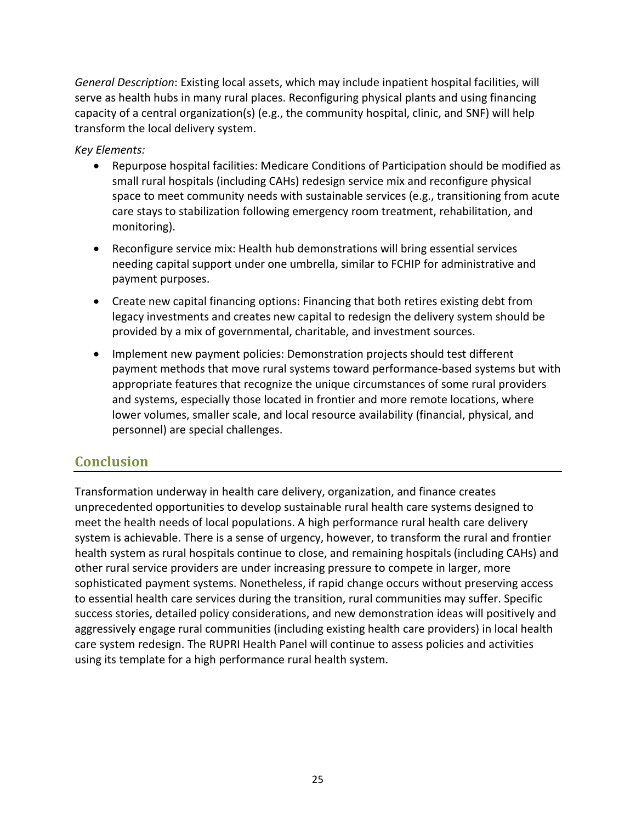*General Description*: Existing local assets, which may include inpatient hospital facilities, will serve as health hubs in many rural places. Reconfiguring physical plants and using financing capacity of a central organization(s) (e.g., the community hospital, clinic, and SNF) will help transform the local delivery system.

*Key Elements:*

- Repurpose hospital facilities: Medicare Conditions of Participation should be modified as small rural hospitals (including CAHs) redesign service mix and reconfigure physical space to meet community needs with sustainable services (e.g., transitioning from acute care stays to stabilization following emergency room treatment, rehabilitation, and monitoring).
- Reconfigure service mix: Health hub demonstrations will bring essential services needing capital support under one umbrella, similar to FCHIP for administrative and payment purposes.
- Create new capital financing options: Financing that both retires existing debt from legacy investments and creates new capital to redesign the delivery system should be provided by a mix of governmental, charitable, and investment sources.
- Implement new payment policies: Demonstration projects should test different payment methods that move rural systems toward performance-based systems but with appropriate features that recognize the unique circumstances of some rural providers and systems, especially those located in frontier and more remote locations, where lower volumes, smaller scale, and local resource availability (financial, physical, and personnel) are special challenges.

### <span id="page-27-0"></span>**Conclusion**

Transformation underway in health care delivery, organization, and finance creates unprecedented opportunities to develop sustainable rural health care systems designed to meet the health needs of local populations. A high performance rural health care delivery system is achievable. There is a sense of urgency, however, to transform the rural and frontier health system as rural hospitals continue to close, and remaining hospitals (including CAHs) and other rural service providers are under increasing pressure to compete in larger, more sophisticated payment systems. Nonetheless, if rapid change occurs without preserving access to essential health care services during the transition, rural communities may suffer. Specific success stories, detailed policy considerations, and new demonstration ideas will positively and aggressively engage rural communities (including existing health care providers) in local health care system redesign. The RUPRI Health Panel will continue to assess policies and activities using its template for a high performance rural health system.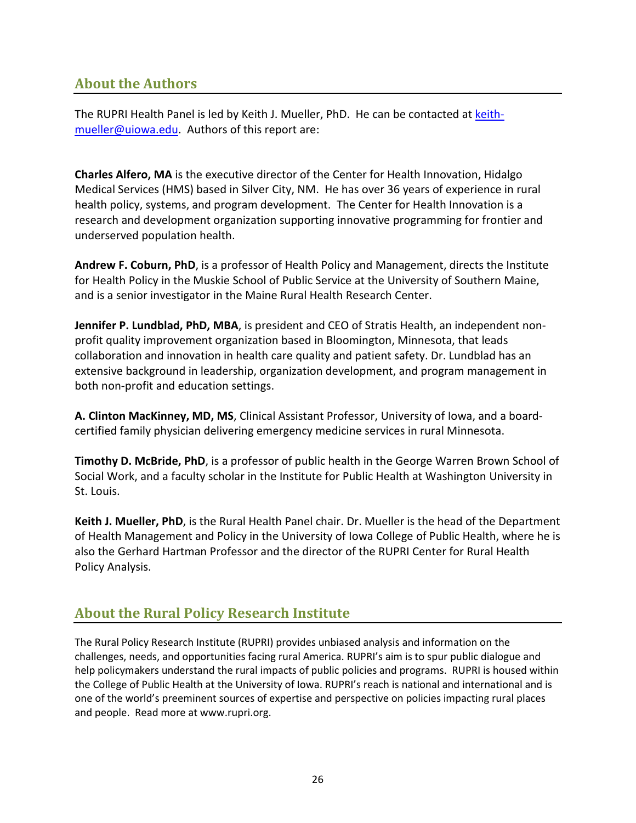### **About the Authors**

The RUPRI Health Panel is led by Keith J. Mueller, PhD. He can be contacted at [keith](mailto:keith-mueller@uiowa.edu)[mueller@uiowa.edu.](mailto:keith-mueller@uiowa.edu) Authors of this report are:

**Charles Alfero, MA** is the executive director of the Center for Health Innovation, Hidalgo Medical Services (HMS) based in Silver City, NM. He has over 36 years of experience in rural health policy, systems, and program development. The Center for Health Innovation is a research and development organization supporting innovative programming for frontier and underserved population health.

**Andrew F. Coburn, PhD**, is a professor of Health Policy and Management, directs the Institute for Health Policy in the Muskie School of Public Service at the University of Southern Maine, and is a senior investigator in the Maine Rural Health Research Center.

**Jennifer P. Lundblad, PhD, MBA**, is president and CEO of Stratis Health, an independent nonprofit quality improvement organization based in Bloomington, Minnesota, that leads collaboration and innovation in health care quality and patient safety. Dr. Lundblad has an extensive background in leadership, organization development, and program management in both non-profit and education settings.

**A. Clinton MacKinney, MD, MS**, Clinical Assistant Professor, University of Iowa, and a boardcertified family physician delivering emergency medicine services in rural Minnesota.

**Timothy D. McBride, PhD**, is a professor of public health in the George Warren Brown School of Social Work, and a faculty scholar in the Institute for Public Health at Washington University in St. Louis.

**Keith J. Mueller, PhD**, is the Rural Health Panel chair. Dr. Mueller is the head of the Department of Health Management and Policy in the University of Iowa College of Public Health, where he is also the Gerhard Hartman Professor and the director of the RUPRI Center for Rural Health Policy Analysis.

### **About the Rural Policy Research Institute**

The Rural Policy Research Institute (RUPRI) provides unbiased analysis and information on the challenges, needs, and opportunities facing rural America. RUPRI's aim is to spur public dialogue and help policymakers understand the rural impacts of public policies and programs. RUPRI is housed within the College of Public Health at the University of Iowa. RUPRI's reach is national and international and is one of the world's preeminent sources of expertise and perspective on policies impacting rural places and people. Read more at www.rupri.org.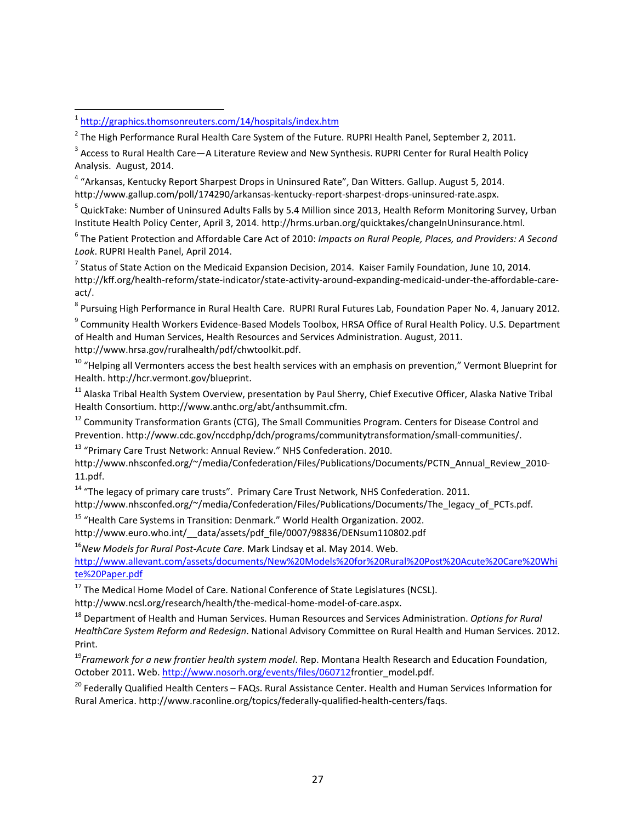$\overline{\phantom{a}}$ 

<span id="page-29-3"></span><sup>4</sup> "Arkansas, Kentucky Report Sharpest Drops in Uninsured Rate", Dan Witters. Gallup. August 5, 2014. http://www.gallup.com/poll/174290/arkansas-kentucky-report-sharpest-drops-uninsured-rate.aspx.

<span id="page-29-4"></span><sup>5</sup> QuickTake: Number of Uninsured Adults Falls by 5.4 Million since 2013, Health Reform Monitoring Survey, Urban Institute Health Policy Center, April 3, 2014. http://hrms.urban.org/quicktakes/changeInUninsurance.html.

<span id="page-29-5"></span><sup>6</sup> The Patient Protection and Affordable Care Act of 2010: *Impacts on Rural People, Places, and Providers: A Second Look*. RUPRI Health Panel, April 2014.

<span id="page-29-6"></span> $<sup>7</sup>$  Status of State Action on the Medicaid Expansion Decision, 2014. Kaiser Family Foundation, June 10, 2014.</sup> http://kff.org/health-reform/state-indicator/state-activity-around-expanding-medicaid-under-the-affordable-careact/.

<sup>8</sup> Pursuing High Performance in Rural Health Care. RUPRI Rural Futures Lab, Foundation Paper No. 4, January 2012.

<sup>9</sup> Community Health Workers Evidence-Based Models Toolbox, HRSA Office of Rural Health Policy. U.S. Department of Health and Human Services, Health Resources and Services Administration. August, 2011.

http://www.hrsa.gov/ruralhealth/pdf/chwtoolkit.pdf.

<sup>10</sup> "Helping all Vermonters access the best health services with an emphasis on prevention," Vermont Blueprint for Health. http://hcr.vermont.gov/blueprint.

<sup>11</sup> Alaska Tribal Health System Overview, presentation by Paul Sherry, Chief Executive Officer, Alaska Native Tribal Health Consortium. http://www.anthc.org/abt/anthsummit.cfm.

<sup>12</sup> Community Transformation Grants (CTG), The Small Communities Program. Centers for Disease Control and Prevention. http://www.cdc.gov/nccdphp/dch/programs/communitytransformation/small-communities/.

<sup>13</sup> "Primary Care Trust Network: Annual Review." NHS Confederation. 2010.

http://www.nhsconfed.org/~/media/Confederation/Files/Publications/Documents/PCTN Annual Review 2010-11.pdf.

<sup>14</sup> "The legacy of primary care trusts". Primary Care Trust Network, NHS Confederation. 2011.

http://www.nhsconfed.org/~/media/Confederation/Files/Publications/Documents/The legacy of PCTs.pdf.

<sup>15</sup> "Health Care Systems in Transition: Denmark." World Health Organization. 2002. http://www.euro.who.int/\_\_data/assets/pdf\_file/0007/98836/DENsum110802.pdf

<sup>16</sup>*New Models for Rural Post-Acute Care.* Mark Lindsay et al. May 2014. Web.

[http://www.allevant.com/assets/documents/New%20Models%20for%20Rural%20Post%20Acute%20Care%20Whi](http://www.allevant.com/assets/documents/New%20Models%20for%20Rural%20Post%20Acute%20Care%20White%20Paper.pdf) [te%20Paper.pdf](http://www.allevant.com/assets/documents/New%20Models%20for%20Rural%20Post%20Acute%20Care%20White%20Paper.pdf)

<sup>17</sup> The Medical Home Model of Care. National Conference of State Legislatures (NCSL).

http://www.ncsl.org/research/health/the-medical-home-model-of-care.aspx.

<sup>18</sup> Department of Health and Human Services. Human Resources and Services Administration. *Options for Rural HealthCare System Reform and Redesign*. National Advisory Committee on Rural Health and Human Services. 2012. Print.

<sup>19</sup>*Framework for a new frontier health system model*. Rep. Montana Health Research and Education Foundation, October 2011. Web[. http://www.nosorh.org/events/files/060712f](http://www.nosorh.org/events/files/060712)rontier\_model.pdf.

<sup>20</sup> Federally Qualified Health Centers – FAQs. Rural Assistance Center. Health and Human Services Information for Rural America. http://www.raconline.org/topics/federally-qualified-health-centers/faqs.

<span id="page-29-0"></span><sup>&</sup>lt;sup>1</sup> <http://graphics.thomsonreuters.com/14/hospitals/index.htm>

<span id="page-29-1"></span> $2$  The High Performance Rural Health Care System of the Future. RUPRI Health Panel, September 2, 2011.

<span id="page-29-2"></span><sup>&</sup>lt;sup>3</sup> Access to Rural Health Care—A Literature Review and New Synthesis. RUPRI Center for Rural Health Policy Analysis. August, 2014.